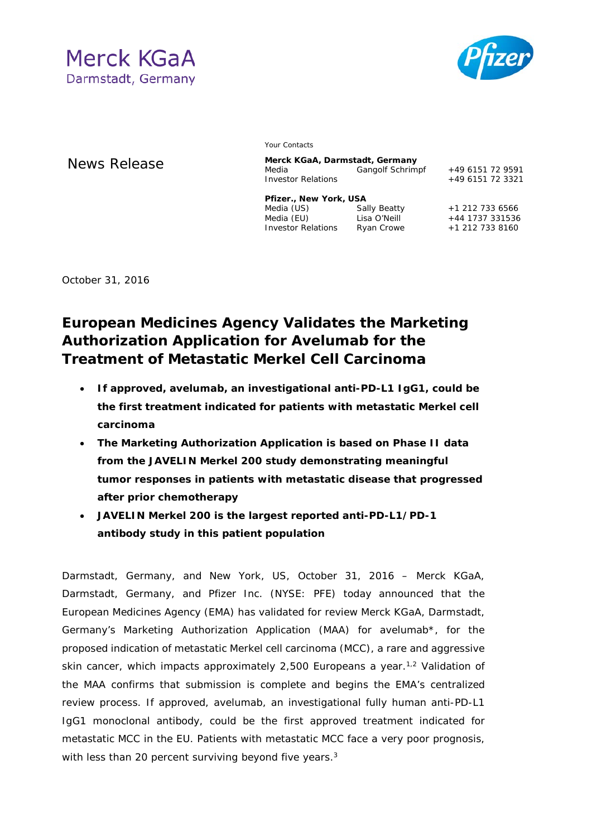



**News Release** 

Your Contacts

| Merck KGaA, Darmstadt, Germany |                  |                  |
|--------------------------------|------------------|------------------|
| Media                          | Gangolf Schrimpf | +49 6151 72 9591 |
| <b>Investor Relations</b>      |                  | +49 6151 72 3321 |
| Pfizer., New York, USA         |                  |                  |
| Media (US)                     | Sally Beatty     | +1 212 733 6566  |
| Media (EU)                     | Lisa O'Neill     | +44 1737 331536  |
|                                |                  |                  |

October 31, 2016

## **European Medicines Agency Validates the Marketing Authorization Application for Avelumab for the Treatment of Metastatic Merkel Cell Carcinoma**

- **If approved, avelumab, an investigational anti-PD-L1 IgG1, could be the first treatment indicated for patients with metastatic Merkel cell carcinoma**
- **The Marketing Authorization Application is based on Phase II data from the JAVELIN Merkel 200 study demonstrating meaningful tumor responses in patients with metastatic disease that progressed after prior chemotherapy**
- **JAVELIN Merkel 200 is the largest reported anti-PD-L1/PD-1 antibody study in this patient population**

Darmstadt, Germany, and New York, US, October 31, 2016 – Merck KGaA, Darmstadt, Germany, and Pfizer Inc. (NYSE: PFE) today announced that the European Medicines Agency (EMA) has validated for review Merck KGaA, Darmstadt, Germany's Marketing Authorization Application (MAA) for avelumab\*, for the proposed indication of metastatic Merkel cell carcinoma (MCC), a rare and aggressive skin cancer, which impacts approximately 2,500 Europeans a year.<sup>1,2</sup> Validation of the MAA confirms that submission is complete and begins the EMA's centralized review process. If approved, avelumab, an investigational fully human anti-PD-L1 IgG1 monoclonal antibody, could be the first approved treatment indicated for metastatic MCC in the EU. Patients with metastatic MCC face a very poor prognosis, with less than 20 percent surviving beyond five years.<sup>3</sup>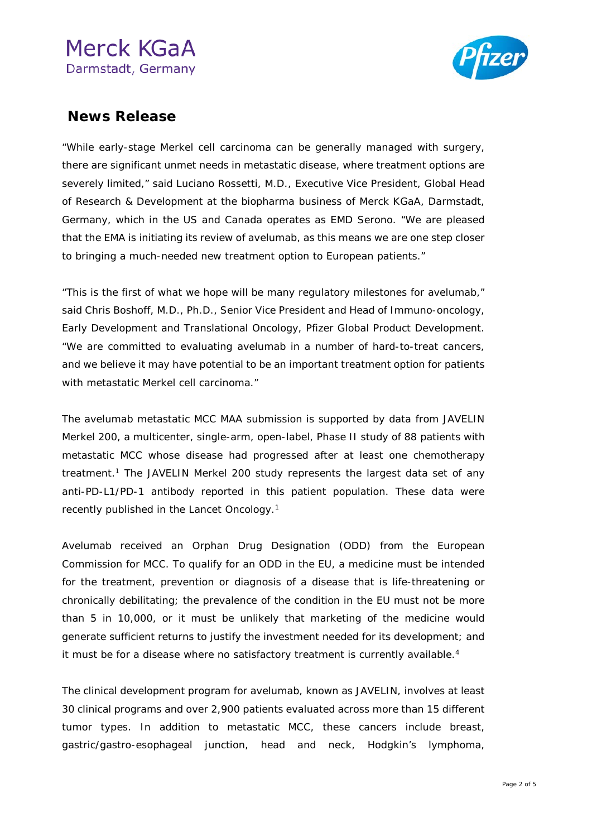

### **News Release**

"While early-stage Merkel cell carcinoma can be generally managed with surgery, there are significant unmet needs in metastatic disease, where treatment options are severely limited," said Luciano Rossetti, M.D., Executive Vice President, Global Head of Research & Development at the biopharma business of Merck KGaA, Darmstadt, Germany, which in the US and Canada operates as EMD Serono. "We are pleased that the EMA is initiating its review of avelumab, as this means we are one step closer to bringing a much-needed new treatment option to European patients."

"This is the first of what we hope will be many regulatory milestones for avelumab," said Chris Boshoff, M.D., Ph.D., Senior Vice President and Head of Immuno-oncology, Early Development and Translational Oncology, Pfizer Global Product Development. "We are committed to evaluating avelumab in a number of hard-to-treat cancers, and we believe it may have potential to be an important treatment option for patients with metastatic Merkel cell carcinoma."

The avelumab metastatic MCC MAA submission is supported by data from JAVELIN Merkel 200, a multicenter, single-arm, open-label, Phase II study of 88 patients with metastatic MCC whose disease had progressed after at least one chemotherapy treatment.1 The JAVELIN Merkel 200 study represents the largest data set of any anti-PD-L1/PD-1 antibody reported in this patient population. These data were recently published in the *Lancet Oncology*.1

Avelumab received an Orphan Drug Designation (ODD) from the European Commission for MCC. To qualify for an ODD in the EU, a medicine must be intended for the treatment, prevention or diagnosis of a disease that is life-threatening or chronically debilitating; the prevalence of the condition in the EU must not be more than 5 in 10,000, or it must be unlikely that marketing of the medicine would generate sufficient returns to justify the investment needed for its development; and it must be for a disease where no satisfactory treatment is currently available.<sup>4</sup>

The clinical development program for avelumab, known as JAVELIN, involves at least 30 clinical programs and over 2,900 patients evaluated across more than 15 different tumor types. In addition to metastatic MCC, these cancers include breast, gastric/gastro-esophageal junction, head and neck, Hodgkin's lymphoma,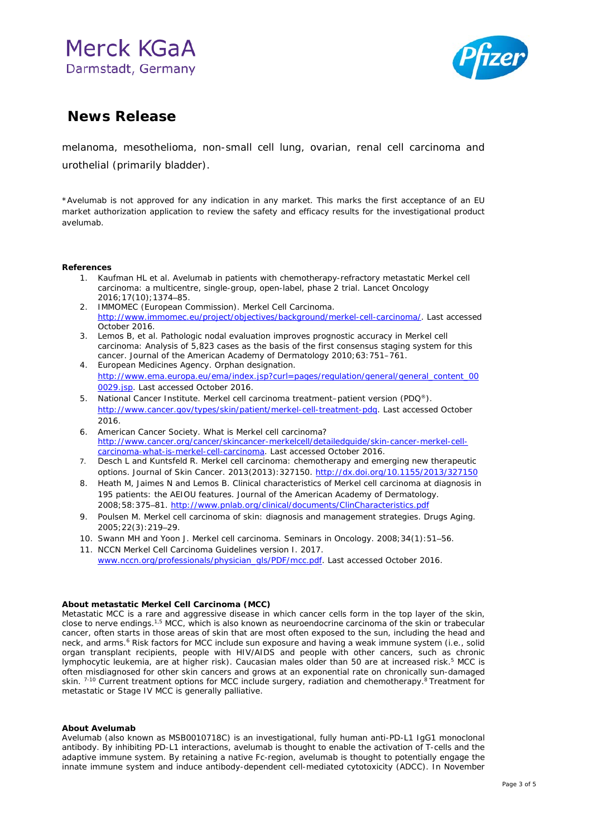

### **News Release**

melanoma, mesothelioma, non-small cell lung, ovarian, renal cell carcinoma and urothelial (primarily bladder).

\*Avelumab is not approved for any indication in any market. This marks the first acceptance of an EU market authorization application to review the safety and efficacy results for the investigational product avelumab.

#### **References**

- 1. Kaufman HL et al. Avelumab in patients with chemotherapy-refractory metastatic Merkel cell carcinoma: a multicentre, single-group, open-label, phase 2 trial. Lancet Oncology 2016;17(10);1374–85.
- 2. IMMOMEC (European Commission). Merkel Cell Carcinoma. [http://www.immomec.eu/project/objectives/background/merkel-cell-carcinoma/.](http://www.immomec.eu/project/objectives/background/merkel-cell-carcinoma/) Last accessed October 2016.
- 3. Lemos B, et al. Pathologic nodal evaluation improves prognostic accuracy in Merkel cell carcinoma: Analysis of 5,823 cases as the basis of the first consensus staging system for this cancer. Journal of the American Academy of Dermatology 2010;63:751–761.
- 4. European Medicines Agency. Orphan designation. [http://www.ema.europa.eu/ema/index.jsp?curl=pages/regulation/general/general\\_content\\_00](http://www.ema.europa.eu/ema/index.jsp?curl=pages/regulation/general/general_content_000029.jsp) [0029.jsp.](http://www.ema.europa.eu/ema/index.jsp?curl=pages/regulation/general/general_content_000029.jsp) Last accessed October 2016.
- 5. National Cancer Institute. Merkel cell carcinoma treatment–patient version (PDQ®). [http://www.cancer.gov/types/skin/patient/merkel-cell-treatment-pdq.](http://www.cancer.gov/types/skin/patient/merkel-cell-treatment-pdq) Last accessed October 2016.
- 6. American Cancer Society. What is Merkel cell carcinoma? [http://www.cancer.org/cancer/skincancer-merkelcell/detailedguide/skin-cancer-merkel-cell](http://www.cancer.org/cancer/skincancer-merkelcell/detailedguide/skin-cancer-merkel-cell-carcinoma-what-is-merkel-cell-carcinoma)[carcinoma-what-is-merkel-cell-carcinoma.](http://www.cancer.org/cancer/skincancer-merkelcell/detailedguide/skin-cancer-merkel-cell-carcinoma-what-is-merkel-cell-carcinoma) Last accessed October 2016.
- 7. Desch L and Kuntsfeld R. Merkel cell carcinoma: chemotherapy and emerging new therapeutic options. Journal of Skin Cancer. 2013(2013):327150.<http://dx.doi.org/10.1155/2013/327150>
- 8. Heath M, Jaimes N and Lemos B. Clinical characteristics of Merkel cell carcinoma at diagnosis in 195 patients: the AEIOU features. Journal of the American Academy of Dermatology. 2008;58:375–81[. http://www.pnlab.org/clinical/documents/ClinCharacteristics.pdf](http://www.pnlab.org/clinical/documents/ClinCharacteristics.pdf)
- 9. Poulsen M. Merkel cell carcinoma of skin: diagnosis and management strategies. Drugs Aging. 2005;22(3):219–29.
- 10. Swann MH and Yoon J. Merkel cell carcinoma. Seminars in Oncology. 2008;34(1):51–56.
- 11. NCCN Merkel Cell Carcinoma Guidelines version I. 2017. [www.nccn.org/professionals/physician\\_gls/PDF/mcc.pdf.](http://www.nccn.org/professionals/physician_gls/PDF/mcc.pdf) Last accessed October 2016.

### **About metastatic Merkel Cell Carcinoma (MCC)**

Metastatic MCC is a rare and aggressive disease in which cancer cells form in the top layer of the skin, close to nerve endings.<sup>1,5</sup> MCC, which is also known as neuroendocrine carcinoma of the skin or trabecular cancer, often starts in those areas of skin that are most often exposed to the sun, including the head and neck, and arms.<sup>6</sup> Risk factors for MCC include sun exposure and having a weak immune system (i.e., solid organ transplant recipients, people with HIV/AIDS and people with other cancers, such as chronic lymphocytic leukemia, are at higher risk). Caucasian males older than 50 are at increased risk.5 MCC is often misdiagnosed for other skin cancers and grows at an exponential rate on chronically sun-damaged skin. <sup>7-10</sup> Current treatment options for MCC include surgery, radiation and chemotherapy.<sup>8</sup> Treatment for metastatic or Stage IV MCC is generally palliative.

### **About Avelumab**

Avelumab (also known as MSB0010718C) is an investigational, fully human anti-PD-L1 IgG1 monoclonal antibody. By inhibiting PD-L1 interactions, avelumab is thought to enable the activation of T-cells and the adaptive immune system. By retaining a native Fc-region, avelumab is thought to potentially engage the innate immune system and induce antibody-dependent cell-mediated cytotoxicity (ADCC). In November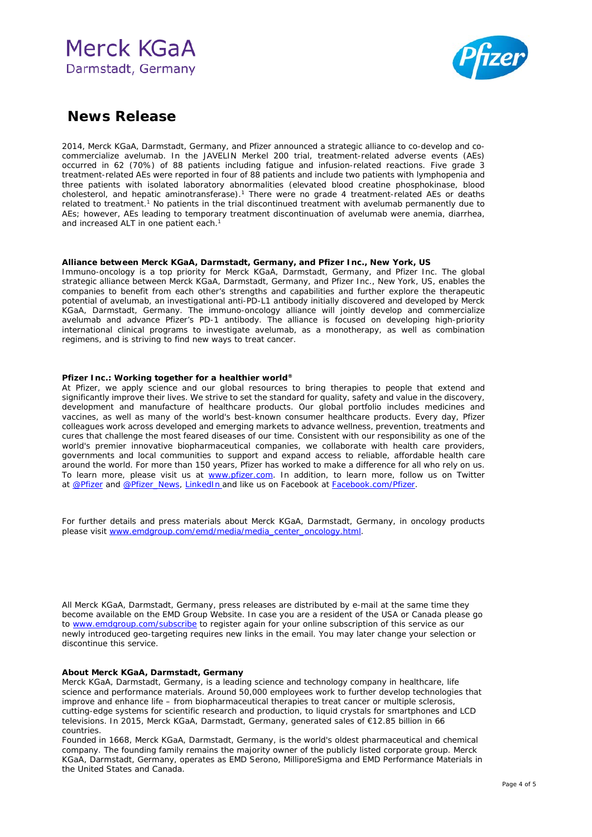

### **News Release**

2014, Merck KGaA, Darmstadt, Germany, and Pfizer announced a strategic alliance to co-develop and cocommercialize avelumab. In the JAVELIN Merkel 200 trial, treatment-related adverse events (AEs) occurred in 62 (70%) of 88 patients including fatigue and infusion-related reactions. Five grade 3 treatment-related AEs were reported in four of 88 patients and include two patients with lymphopenia and three patients with isolated laboratory abnormalities (elevated blood creatine phosphokinase, blood cholesterol, and hepatic aminotransferase).<sup>1</sup> There were no grade 4 treatment-related AEs or deaths related to treatment.1 No patients in the trial discontinued treatment with avelumab permanently due to AEs; however, AEs leading to temporary treatment discontinuation of avelumab were anemia, diarrhea, and increased ALT in one patient each.<sup>1</sup>

### **Alliance between Merck KGaA, Darmstadt, Germany, and Pfizer Inc., New York, US**

Immuno-oncology is a top priority for Merck KGaA, Darmstadt, Germany, and Pfizer Inc. The global strategic alliance between Merck KGaA, Darmstadt, Germany, and Pfizer Inc., New York, US, enables the companies to benefit from each other's strengths and capabilities and further explore the therapeutic potential of avelumab, an investigational anti-PD-L1 antibody initially discovered and developed by Merck KGaA, Darmstadt, Germany. The immuno-oncology alliance will jointly develop and commercialize avelumab and advance Pfizer's PD-1 antibody. The alliance is focused on developing high-priority international clinical programs to investigate avelumab, as a monotherapy, as well as combination regimens, and is striving to find new ways to treat cancer.

#### **Pfizer Inc.: Working together for a healthier world®**

At Pfizer, we apply science and our global resources to bring therapies to people that extend and significantly improve their lives. We strive to set the standard for quality, safety and value in the discovery, development and manufacture of healthcare products. Our global portfolio includes medicines and vaccines, as well as many of the world's best-known consumer healthcare products. Every day, Pfizer colleagues work across developed and emerging markets to advance wellness, prevention, treatments and cures that challenge the most feared diseases of our time. Consistent with our responsibility as one of the world's premier innovative biopharmaceutical companies, we collaborate with health care providers, governments and local communities to support and expand access to reliable, affordable health care around the world. For more than 150 years, Pfizer has worked to make a difference for all who rely on us. To learn more, please visit us at [www.pfizer.com.](http://www.pfizer.com/) In addition, to learn more, follow us on Twitter at [@Pfizer](http://cts.businesswire.com/ct/CT?id=smartlink&url=https%3A%2F%2Ftwitter.com%2Fpfizer&esheet=51356409&newsitemid=20160606005771&lan=en-US&anchor=%40Pfizer&index=4&md5=e87fe5c6856741051dc884b6867e3ffa) and [@Pfizer\\_News,](http://cts.businesswire.com/ct/CT?id=smartlink&url=https%3A%2F%2Ftwitter.com%2Fpfizer_news&esheet=51356409&newsitemid=20160606005771&lan=en-US&anchor=%40Pfizer_News&index=5&md5=cf5e63756f6ab5c12fc077e5e90068e3) [LinkedIn](https://www.linkedin.com/company/pfizer) and like us on Facebook at [Facebook.com/Pfizer.](http://cts.businesswire.com/ct/CT?id=smartlink&url=https%3A%2F%2Fwww.facebook.com%2FPfizer&esheet=51356409&newsitemid=20160606005771&lan=en-US&anchor=Facebook.com%2FPfizer&index=7&md5=288d5bd99c7df784e0916061c5cfd713)

For further details and press materials about Merck KGaA, Darmstadt, Germany, in oncology products please visit [www.emdgroup.com/emd/media/media\\_center\\_oncology.html.](http://www.emdgroup.com/emd/media/media_center_oncology.html)

All Merck KGaA, Darmstadt, Germany, press releases are distributed by e-mail at the same time they become available on the EMD Group Website. In case you are a resident of the USA or Canada please go to [www.emdgroup.com/subscribe](http://www.emdgroup.com/subscribe) to register again for your online subscription of this service as our newly introduced geo-targeting requires new links in the email. You may later change your selection or discontinue this service.

#### **About Merck KGaA, Darmstadt, Germany**

Merck KGaA, Darmstadt, Germany, is a leading science and technology company in healthcare, life science and performance materials. Around 50,000 employees work to further develop technologies that improve and enhance life – from biopharmaceutical therapies to treat cancer or multiple sclerosis, cutting-edge systems for scientific research and production, to liquid crystals for smartphones and LCD televisions. In 2015, Merck KGaA, Darmstadt, Germany, generated sales of €12.85 billion in 66 countries.

Founded in 1668, Merck KGaA, Darmstadt, Germany, is the world's oldest pharmaceutical and chemical company. The founding family remains the majority owner of the publicly listed corporate group. Merck KGaA, Darmstadt, Germany, operates as EMD Serono, MilliporeSigma and EMD Performance Materials in the United States and Canada.